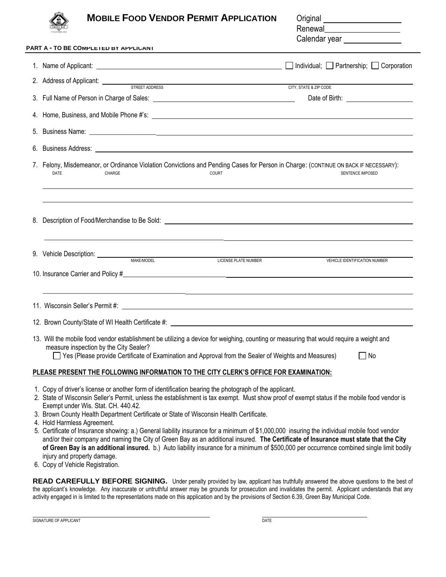|    | <b>MOBILE FOOD VENDOR PERMIT APPLICATION</b>                                                                                                                                                                                                                                                  | Original ______________________<br>Renewal_______________________<br>Calendar year<br><u> </u> |
|----|-----------------------------------------------------------------------------------------------------------------------------------------------------------------------------------------------------------------------------------------------------------------------------------------------|------------------------------------------------------------------------------------------------|
|    | PART A - TO BE COMPLETED BY APPLICANT                                                                                                                                                                                                                                                         |                                                                                                |
|    |                                                                                                                                                                                                                                                                                               |                                                                                                |
|    | 2. Address of Applicant: <u>STREET ADDRESS</u> CITY, STATE & ZIP CODE                                                                                                                                                                                                                         |                                                                                                |
|    |                                                                                                                                                                                                                                                                                               |                                                                                                |
|    |                                                                                                                                                                                                                                                                                               |                                                                                                |
|    |                                                                                                                                                                                                                                                                                               |                                                                                                |
|    |                                                                                                                                                                                                                                                                                               |                                                                                                |
|    | 7. Felony, Misdemeanor, or Ordinance Violation Convictions and Pending Cases for Person in Charge: (CONTINUE ON BACK IF NECESSARY):<br>DATE<br>CHARGE<br>COURT                                                                                                                                | <b>SENTENCE IMPOSED</b>                                                                        |
| 8. |                                                                                                                                                                                                                                                                                               |                                                                                                |
|    | 9. Vehicle Description: MAKE/MODEL MAKE/MODEL LICENSE PLATE NUMBER                                                                                                                                                                                                                            | <b>VEHICLE IDENTIFICATION NUMBER</b>                                                           |
|    |                                                                                                                                                                                                                                                                                               |                                                                                                |
|    | 11. Wisconsin Seller's Permit #: Wisconsin Seller's Permit #: Wisconsin Seller's Permit #: Wisconsin Seller's                                                                                                                                                                                 |                                                                                                |
|    |                                                                                                                                                                                                                                                                                               |                                                                                                |
|    | 13. Will the mobile food vendor establishment be utilizing a device for weighing, counting or measuring that would require a weight and<br>measure inspection by the City Sealer?<br>Yes (Please provide Certificate of Examination and Approval from the Sealer of Weights and Measures)     | $\sqcap$ No                                                                                    |
|    | PLEASE PRESENT THE FOLLOWING INFORMATION TO THE CITY CLERK'S OFFICE FOR EXAMINATION:                                                                                                                                                                                                          |                                                                                                |
|    | 1. Copy of driver's license or another form of identification bearing the photograph of the applicant.<br>2. State of Wisconsin Seller's Permit, unless the establishment is tax exempt. Must show proof of exempt status if the mobile food vendor is<br>Exempt under Wis. Stat. CH. 440.42. |                                                                                                |

- 3. Brown County Health Department Certificate or State of Wisconsin Health Certificate.
- 4. Hold Harmless Agreement.
- 5. Certificate of Insurance showing: a.) General liability insurance for a minimum of \$1,000,000 insuring the individual mobile food vendor and/or their company and naming the City of Green Bay as an additional insured. **The Certificate of Insurance must state that the City of Green Bay is an additional insured.** b.) Auto liability insurance for a minimum of \$500,000 per occurrence combined single limit bodily injury and property damage.
- 6. Copy of Vehicle Registration.

READ CAREFULLY BEFORE SIGNING. Under penalty provided by law, applicant has truthfully answered the above questions to the best of the applicant's knowledge. Any inaccurate or untruthful answer may be grounds for prosecution and invalidates the permit. Applicant understands that any activity engaged in is limited to the representations made on this application and by the provisions of Section 6.39, Green Bay Municipal Code.

SIGNATURE OF APPLICANT **DATE**